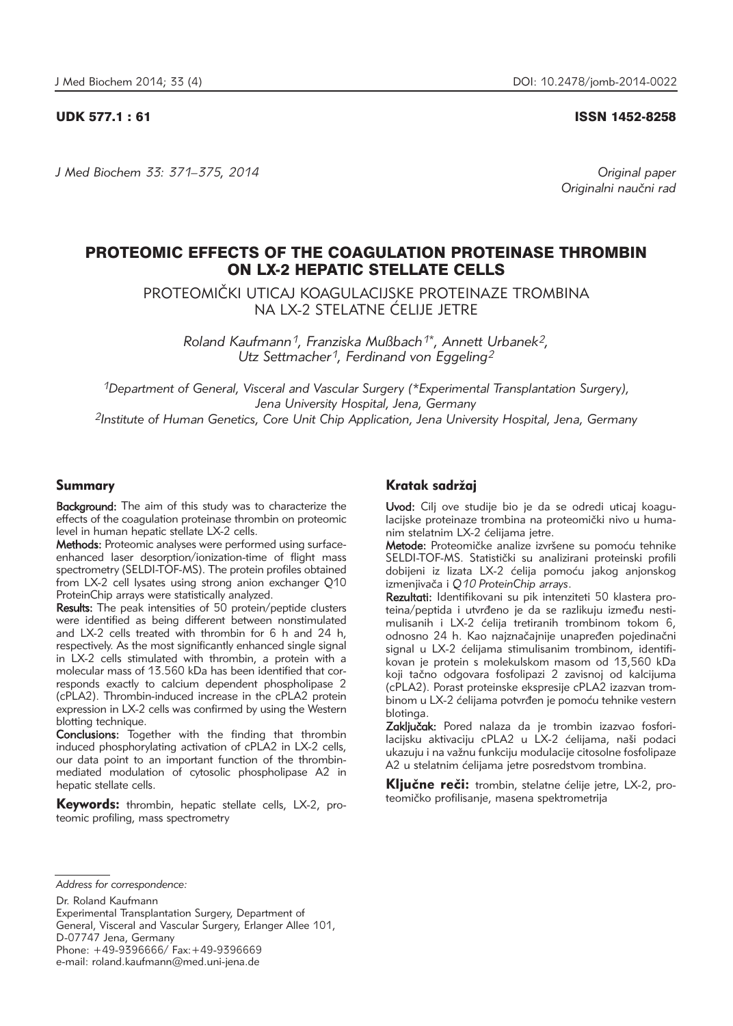UDK 577.1 : 61 ISSN 1452-8258

*J Med Biochem 33: 371–375, 2014 Original paper*

Originalni naučni rad

# PROTEOMIC EFFECTS OF THE COAGULATION PROTEINASE THROMBIN ON LX-2 HEPATIC STELLATE CELLS

PROTEOMI^KI UTICAJ KOAGULACIJSKE PROTEINAZE TROMBINA NA LX-2 STELATNE ĆELIJE JETRE

*Roland Kaufmann1, Franziska Mußbach1\*, Annett Urbanek2, Utz Settmacher1, Ferdinand von Eggeling2*

*1Department of General, Visceral and Vascular Surgery (\*Experimental Transplantation Surgery), Jena University Hospital, Jena, Germany 2Institute of Human Genetics, Core Unit Chip Application, Jena University Hospital, Jena, Germany*

## Summary

Background: The aim of this study was to characterize the effects of the coagulation proteinase thrombin on proteomic level in human hepatic stellate LX-2 cells.

Methods: Proteomic analyses were performed using surfaceenhanced laser desorption/ionization-time of flight mass spectrometry (SELDI-TOF-MS). The protein profiles obtained from LX-2 cell lysates using strong anion exchanger Q10 ProteinChip arrays were statistically analyzed.

Results: The peak intensities of 50 protein/peptide clusters were identified as being different between nonstimulated and LX-2 cells treated with thrombin for 6 h and 24 h, respectively. As the most significantly enhanced single signal in LX-2 cells stimulated with thrombin, a protein with a molecular mass of 13.560 kDa has been identified that corresponds exactly to calcium dependent phospholipase 2 (cPLA2). Thrombin-induced increase in the cPLA2 protein expression in LX-2 cells was confirmed by using the Western blotting technique.

Conclusions: Together with the finding that thrombin induced phosphorylating activation of cPLA2 in LX-2 cells, our data point to an important function of the thrombinmediated modulation of cytosolic phospholipase A2 in hepatic stellate cells.

Keywords: thrombin, hepatic stellate cells, LX-2, proteomic profiling, mass spectrometry

## Kratak sadržaj

Uvod: Cilj ove studije bio je da se odredi uticaj koagulacijske proteinaze trombina na proteomički nivo u humanim stelatnim LX-2 ćelijama jetre.

Metode: Proteomičke analize izvršene su pomoću tehnike SELDI-TOF-MS. Statistički su analizirani proteinski profili dobijeni iz lizata LX-2 ćelija pomoću jakog anjonskog izmenjivača i Q10 ProteinChip arrays.

Rezultati: Identifikovani su pik intenziteti 50 klastera proteina/peptida i utvrđeno je da se razlikuju između nestimulisanih i LX-2 ćelija tretiranih trombinom tokom 6, odnosno 24 h. Kao naiznačajnije unapređen pojedinačni signal u LX-2 ćelijama stimulisanim trombinom, identifikovan je protein s molekulskom masom od 13,560 kDa koji tačno odgovara fosfolipazi 2 zavisnoj od kalcijuma (cPLA2). Porast proteinske ekspresije cPLA2 izazvan trombinom u LX-2 ćelijama potvrđen je pomoću tehnike vestern blotinga.

Zaključak: Pored nalaza da je trombin izazvao fosforilacijsku aktivaciju cPLA2 u LX-2 ćelijama, naši podaci ukazuju i na važnu funkciju modulacije citosolne fosfolipaze A2 u stelatnim ćelijama jetre posredstvom trombina.

Ključne reči: trombin, stelatne ćelije jetre, LX-2, proteomičko profilisanje, masena spektrometrija

*Address for correspondence:*

Dr. Roland Kaufmann

Experimental Transplantation Surgery, Department of General, Visceral and Vascular Surgery, Erlanger Allee 101,

D-07747 Jena, Germany

Phone: +49-9396666/ Fax:+49-9396669

e-mail: roland.kaufmann@med.uni-jena.de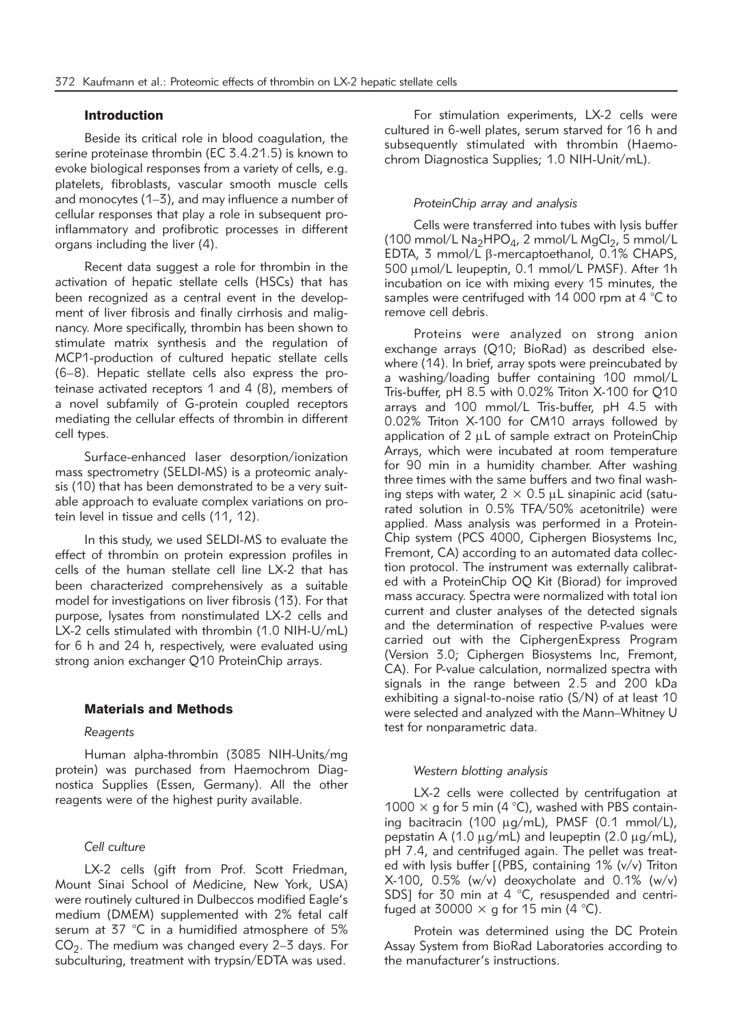## Introduction

Beside its critical role in blood coagulation, the serine proteinase thrombin (EC 3.4.21.5) is known to evoke biological responses from a variety of cells, e.g. platelets, fibroblasts, vascular smooth muscle cells and monocytes (1–3), and may influence a number of cellular responses that play a role in subsequent proinflammatory and profibrotic processes in different organs including the liver (4).

Recent data suggest a role for thrombin in the activation of hepatic stellate cells (HSCs) that has been recognized as a central event in the development of liver fibrosis and finally cirrhosis and malignancy. More specifically, thrombin has been shown to stimulate matrix synthesis and the regulation of MCP1-production of cultured hepatic stellate cells (6–8). Hepatic stellate cells also express the proteinase activated receptors 1 and 4 (8), members of a novel subfamily of G-protein coupled receptors mediating the cellular effects of thrombin in different cell types.

Surface-enhanced laser desorption/ionization mass spectrometry (SELDI-MS) is a proteomic analysis (10) that has been demonstrated to be a very suitable approach to evaluate complex variations on protein level in tissue and cells (11, 12).

In this study, we used SELDI-MS to evaluate the effect of thrombin on protein expression profiles in cells of the human stellate cell line LX-2 that has been characterized comprehensively as a suitable model for investigations on liver fibrosis (13). For that purpose, lysates from nonstimulated LX-2 cells and LX-2 cells stimulated with thrombin (1.0 NIH-U/mL) for 6 h and 24 h, respectively, were evaluated using strong anion exchanger Q10 ProteinChip arrays.

## Materials and Methods

#### *Reagents*

Human alpha-thrombin (3085 NIH-Units/mg protein) was purchased from Haemochrom Diagnostica Supplies (Essen, Germany). All the other reagents were of the highest purity available.

## *Cell culture*

LX-2 cells (gift from Prof. Scott Friedman, Mount Sinai School of Medicine, New York, USA) were routinely cultured in Dulbeccos modified Eagle's medium (DMEM) supplemented with 2% fetal calf serum at 37 °C in a humidified atmosphere of 5%  $CO<sub>2</sub>$ . The medium was changed every 2–3 days. For subculturing, treatment with trypsin/EDTA was used.

For stimulation experiments, LX-2 cells were cultured in 6-well plates, serum starved for 16 h and subsequently stimulated with thrombin (Haemochrom Diagnostica Supplies; 1.0 NIH-Unit/mL).

## *ProteinChip array and analysis*

Cells were transferred into tubes with lysis buffer (100 mmol/L  $\text{Na}_2\text{HPO}_4$ , 2 mmol/L  $\text{MgCl}_2$ , 5 mmol/L EDTA, 3 mmol/L  $\beta$ -mercaptoethanol, 0.1% CHAPS, 500 µmol/L leupeptin, 0.1 mmol/L PMSF). After 1h incubation on ice with mixing every 15 minutes, the samples were centrifuged with 14 000 rpm at 4 °C to remove cell debris.

Proteins were analyzed on strong anion exchange arrays (Q10; BioRad) as described elsewhere (14). In brief, array spots were preincubated by a washing/loading buffer containing 100 mmol/L Tris-buffer, pH 8.5 with 0.02% Triton X-100 for Q10 arrays and 100 mmol/L Tris-buffer, pH 4.5 with 0.02% Triton X-100 for CM10 arrays followed by application of  $2 \mu L$  of sample extract on ProteinChip Arrays, which were incubated at room temperature for 90 min in a humidity chamber. After washing three times with the same buffers and two final washing steps with water,  $2 \times 0.5$  µL sinapinic acid (saturated solution in 0.5% TFA/50% acetonitrile) were applied. Mass analysis was performed in a Protein-Chip system (PCS 4000, Ciphergen Biosystems Inc, Fremont, CA) according to an automated data collection protocol. The instrument was externally calibrated with a ProteinChip OQ Kit (Biorad) for improved mass accuracy. Spectra were normalized with total ion current and cluster analyses of the detected signals and the determination of respective P-values were carried out with the CiphergenExpress Program (Version 3.0; Ciphergen Biosystems Inc, Fremont, CA). For P-value calculation, normalized spectra with signals in the range between 2.5 and 200 kDa exhibiting a signal-to-noise ratio (S/N) of at least 10 were selected and analyzed with the Mann–Whitney U test for nonparametric data.

## *Western blotting analysis*

LX-2 cells were collected by centrifugation at 1000  $\times$  g for 5 min (4 °C), washed with PBS containing bacitracin (100  $\mu$ g/mL), PMSF (0.1 mmol/L), pepstatin A (1.0  $\mu$ g/mL) and leupeptin (2.0  $\mu$ g/mL), pH 7.4, and centrifuged again. The pellet was treated with lysis buffer [(PBS, containing 1% (v/v) Triton  $X-100$ ,  $0.5\%$  (w/v) deoxycholate and  $0.1\%$  (w/v) SDS] for 30 min at  $4 \degree C$ , resuspended and centrifuged at 30000  $\times$  g for 15 min (4 °C).

Protein was determined using the DC Protein Assay System from BioRad Laboratories according to the manufacturer's instructions.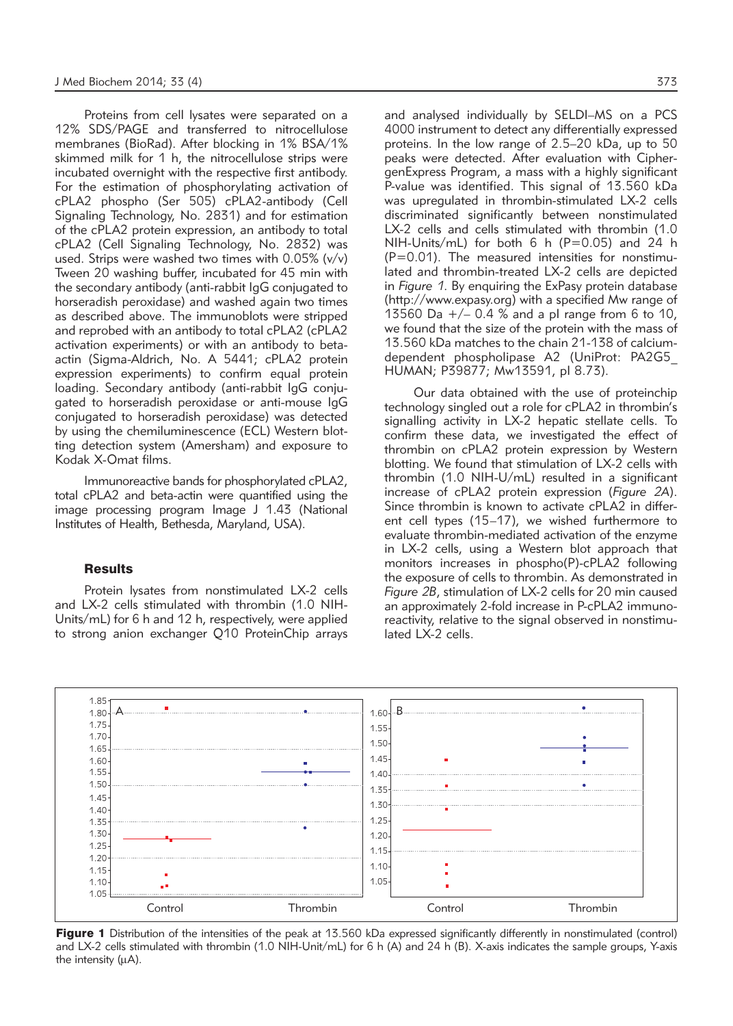Proteins from cell lysates were separated on a 12% SDS/PAGE and transferred to nitrocellulose membranes (BioRad). After blocking in 1% BSA/1% skimmed milk for 1 h, the nitrocellulose strips were incubated overnight with the respective first antibody. For the estimation of phosphorylating activation of cPLA2 phospho (Ser 505) cPLA2-antibody (Cell Signaling Technology, No. 2831) and for estimation of the cPLA2 protein expression, an antibody to total cPLA2 (Cell Signaling Technology, No. 2832) was used. Strips were washed two times with 0.05% (v/v) Tween 20 washing buffer, incubated for 45 min with the secondary antibody (anti-rabbit IgG conjugated to horseradish peroxidase) and washed again two times as described above. The immunoblots were stripped and reprobed with an antibody to total cPLA2 (cPLA2 activation experiments) or with an antibody to betaactin (Sigma-Aldrich, No. A 5441; cPLA2 protein expression experiments) to confirm equal protein loading. Secondary antibody (anti-rabbit IgG conjugated to horseradish peroxidase or anti-mouse IgG conjugated to horseradish peroxidase) was detected by using the chemiluminescence (ECL) Western blotting detection system (Amersham) and exposure to Kodak X-Omat films.

Immunoreactive bands for phosphorylated cPLA2, total cPLA2 and beta-actin were quantified using the image processing program Image J 1.43 (National Institutes of Health, Bethesda, Maryland, USA).

## **Results**

Protein lysates from nonstimulated LX-2 cells and LX-2 cells stimulated with thrombin (1.0 NIH-Units/mL) for 6 h and 12 h, respectively, were applied to strong anion exchanger Q10 ProteinChip arrays and analysed individually by SELDI–MS on a PCS 4000 instrument to detect any differentially expressed proteins. In the low range of 2.5–20 kDa, up to 50 peaks were detected. After evaluation with CiphergenExpress Program, a mass with a highly significant P-value was identified. This signal of 13.560 kDa was upregulated in thrombin-stimulated LX-2 cells discriminated significantly between nonstimulated LX-2 cells and cells stimulated with thrombin (1.0) NIH-Units/mL) for both  $6 h (P=0.05)$  and 24 h  $(P=0.01)$ . The measured intensities for nonstimulated and thrombin-treated LX-2 cells are depicted in *Figure 1*. By enquiring the ExPasy protein database (http://www.expasy.org) with a specified Mw range of 13560 Da  $+/-$  0.4 % and a pl range from 6 to 10, we found that the size of the protein with the mass of 13.560 kDa matches to the chain 21-138 of calciumdependent phospholipase A2 (UniProt: PA2G5\_ HUMAN; P39877; Mw13591, pI 8.73).

Our data obtained with the use of proteinchip technology singled out a role for cPLA2 in thrombin's signalling activity in LX-2 hepatic stellate cells. To confirm these data, we investigated the effect of thrombin on cPLA2 protein expression by Western blotting. We found that stimulation of LX-2 cells with thrombin (1.0 NIH-U/mL) resulted in a significant increase of cPLA2 protein expression (*Figure 2A*). Since thrombin is known to activate cPLA2 in different cell types (15–17), we wished furthermore to evaluate thrombin-mediated activation of the enzyme in LX-2 cells, using a Western blot approach that monitors increases in phospho(P)-cPLA2 following the exposure of cells to thrombin. As demonstrated in *Figure 2B*, stimulation of LX-2 cells for 20 min caused an approximately 2-fold increase in P-cPLA2 immunoreactivity, relative to the signal observed in nonstimulated LX-2 cells.



Figure 1 Distribution of the intensities of the peak at 13.560 kDa expressed significantly differently in nonstimulated (control) and LX-2 cells stimulated with thrombin (1.0 NIH-Unit/mL) for 6 h (A) and 24 h (B). X-axis indicates the sample groups, Y-axis the intensity  $(\mu A)$ .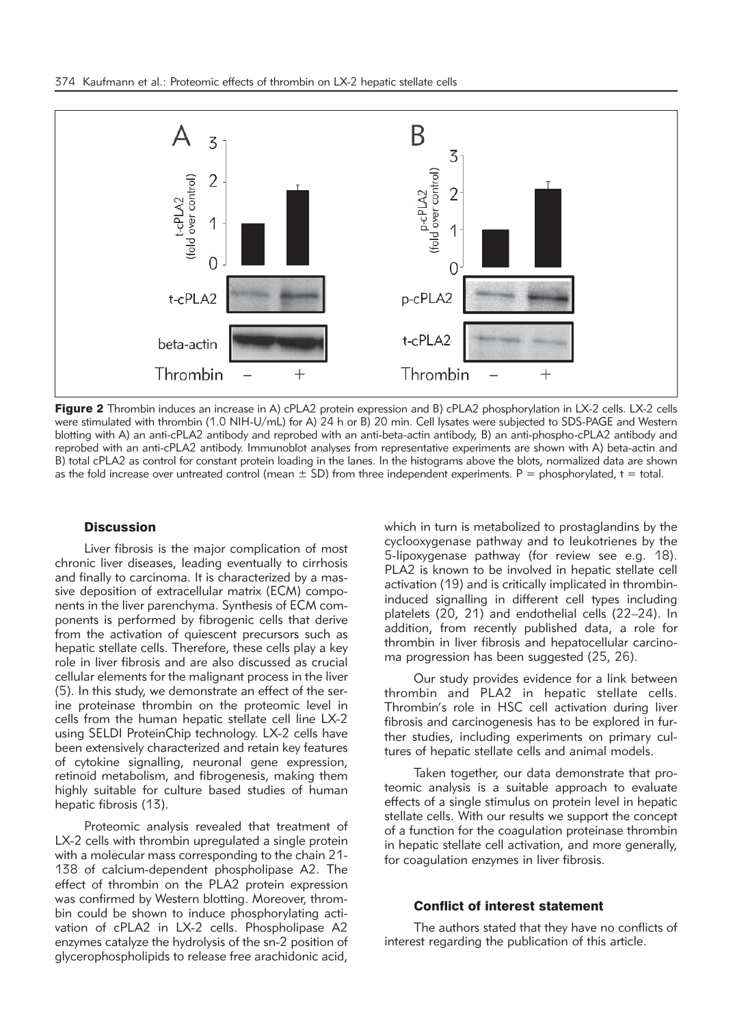

Figure 2 Thrombin induces an increase in A) cPLA2 protein expression and B) cPLA2 phosphorylation in LX-2 cells. LX-2 cells were stimulated with thrombin (1.0 NIH-U/mL) for A) 24 h or B) 20 min. Cell lysates were subjected to SDS-PAGE and Western blotting with A) an anti-cPLA2 antibody and reprobed with an anti-beta-actin antibody, B) an anti-phospho-cPLA2 antibody and reprobed with an anti-cPLA2 antibody. Immunoblot analyses from representative experiments are shown with A) beta-actin and B) total cPLA2 as control for constant protein loading in the lanes. In the histograms above the blots, normalized data are shown as the fold increase over untreated control (mean  $\pm$  SD) from three independent experiments. P = phosphorylated, t = total.

## **Discussion**

Liver fibrosis is the major complication of most chronic liver diseases, leading eventually to cirrhosis and finally to carcinoma. It is characterized by a massive deposition of extracellular matrix (ECM) components in the liver parenchyma. Synthesis of ECM components is performed by fibrogenic cells that derive from the activation of quiescent precursors such as hepatic stellate cells. Therefore, these cells play a key role in liver fibrosis and are also discussed as crucial cellular elements for the malignant process in the liver (5). In this study, we demonstrate an effect of the serine proteinase thrombin on the proteomic level in cells from the human hepatic stellate cell line LX-2 using SELDI ProteinChip technology. LX-2 cells have been extensively characterized and retain key features of cytokine signalling, neuronal gene expression, retinoid metabolism, and fibrogenesis, making them highly suitable for culture based studies of human hepatic fibrosis (13).

Proteomic analysis revealed that treatment of LX-2 cells with thrombin upregulated a single protein with a molecular mass corresponding to the chain 21- 138 of calcium-dependent phospholipase A2. The effect of thrombin on the PLA2 protein expression was confirmed by Western blotting. Moreover, thrombin could be shown to induce phosphorylating activation of cPLA2 in LX-2 cells. Phospholipase A2 enzymes catalyze the hydrolysis of the sn-2 position of glycerophospholipids to release free arachidonic acid,

which in turn is metabolized to prostaglandins by the cyclooxygenase pathway and to leukotrienes by the 5-lipoxygenase pathway (for review see e.g. 18). PLA2 is known to be involved in hepatic stellate cell activation (19) and is critically implicated in thrombininduced signalling in different cell types including platelets (20, 21) and endothelial cells (22–24). In addition, from recently published data, a role for thrombin in liver fibrosis and hepatocellular carcinoma progression has been suggested (25, 26).

Our study provides evidence for a link between thrombin and PLA2 in hepatic stellate cells. Thrombin's role in HSC cell activation during liver fibrosis and carcinogenesis has to be explored in further studies, including experiments on primary cultures of hepatic stellate cells and animal models.

Taken together, our data demonstrate that proteomic analysis is a suitable approach to evaluate effects of a single stimulus on protein level in hepatic stellate cells. With our results we support the concept of a function for the coagulation proteinase thrombin in hepatic stellate cell activation, and more generally, for coagulation enzymes in liver fibrosis.

## Conflict of interest statement

The authors stated that they have no conflicts of interest regarding the publication of this article.